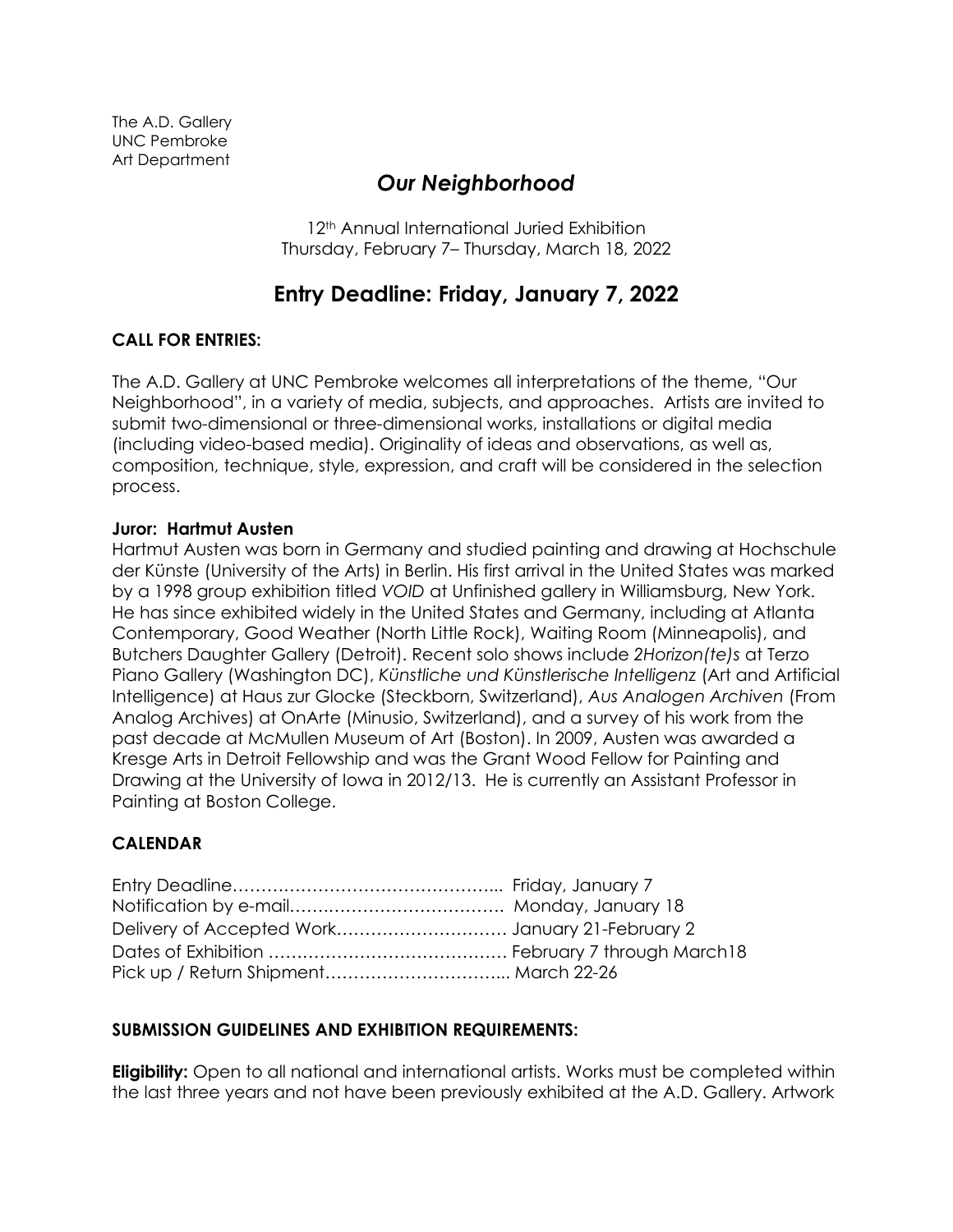# *Our Neighborhood*

12<sup>th</sup> Annual International Juried Exhibition Thursday, February 7– Thursday, March 18, 2022

## **Entry Deadline: Friday, January 7, 2022**

### **CALL FOR ENTRIES:**

The A.D. Gallery at UNC Pembroke welcomes all interpretations of the theme, "Our Neighborhood", in a variety of media, subjects, and approaches. Artists are invited to submit two-dimensional or three-dimensional works, installations or digital media (including video-based media). Originality of ideas and observations, as well as, composition, technique, style, expression, and craft will be considered in the selection process.

#### **Juror: Hartmut Austen**

Hartmut Austen was born in Germany and studied painting and drawing at Hochschule der Künste (University of the Arts) in Berlin. His first arrival in the United States was marked by a 1998 group exhibition titled *VOID* at Unfinished gallery in Williamsburg, New York. He has since exhibited widely in the United States and Germany, including at Atlanta Contemporary, Good Weather (North Little Rock), Waiting Room (Minneapolis), and Butchers Daughter Gallery (Detroit). Recent solo shows include *2Horizon(te)s* at Terzo Piano Gallery (Washington DC), *Künstliche und Künstlerische Intelligenz* (Art and Artificial Intelligence) at Haus zur Glocke (Steckborn, Switzerland), *Aus Analogen Archiven* (From Analog Archives) at OnArte (Minusio, Switzerland), and a survey of his work from the past decade at McMullen Museum of Art (Boston). In 2009, Austen was awarded a Kresge Arts in Detroit Fellowship and was the Grant Wood Fellow for Painting and Drawing at the University of Iowa in 2012/13. He is currently an Assistant Professor in Painting at Boston College.

### **CALENDAR**

#### **SUBMISSION GUIDELINES AND EXHIBITION REQUIREMENTS:**

**Eligibility:** Open to all national and international artists. Works must be completed within the last three years and not have been previously exhibited at the A.D. Gallery. Artwork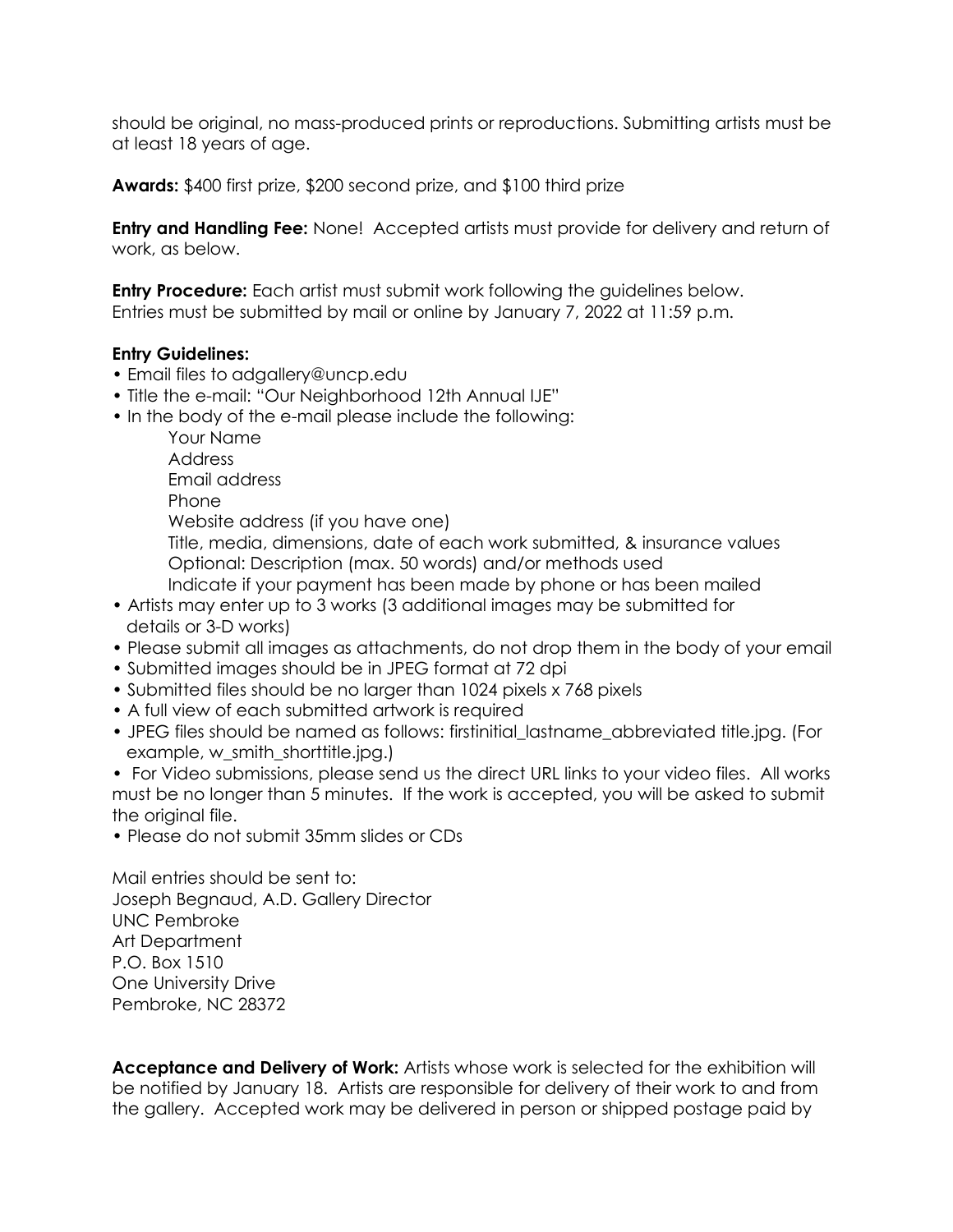should be original, no mass-produced prints or reproductions. Submitting artists must be at least 18 years of age.

**Awards:** \$400 first prize, \$200 second prize, and \$100 third prize

**Entry and Handling Fee:** None! Accepted artists must provide for delivery and return of work, as below.

**Entry Procedure:** Each artist must submit work following the guidelines below. Entries must be submitted by mail or online by January 7, 2022 at 11:59 p.m.

#### **Entry Guidelines:**

- Email files to adgallery@uncp.edu
- Title the e-mail: "Our Neighborhood 12th Annual IJE"
- In the body of the e-mail please include the following:

Your Name

Address

Email address

Phone

Website address (if you have one)

Title, media, dimensions, date of each work submitted, & insurance values Optional: Description (max. 50 words) and/or methods used

Indicate if your payment has been made by phone or has been mailed

- Artists may enter up to 3 works (3 additional images may be submitted for details or 3-D works)
- Please submit all images as attachments, do not drop them in the body of your email
- Submitted images should be in JPEG format at 72 dpi
- Submitted files should be no larger than 1024 pixels x 768 pixels
- A full view of each submitted artwork is required
- JPEG files should be named as follows: firstinitial lastname abbreviated title.jpg. (For example, w\_smith\_shorttitle.jpg.)
- For Video submissions, please send us the direct URL links to your video files. All works must be no longer than 5 minutes. If the work is accepted, you will be asked to submit the original file.
- Please do not submit 35mm slides or CDs

Mail entries should be sent to: Joseph Begnaud, A.D. Gallery Director UNC Pembroke Art Department P.O. Box 1510 One University Drive Pembroke, NC 28372

**Acceptance and Delivery of Work:** Artists whose work is selected for the exhibition will be notified by January 18. Artists are responsible for delivery of their work to and from the gallery. Accepted work may be delivered in person or shipped postage paid by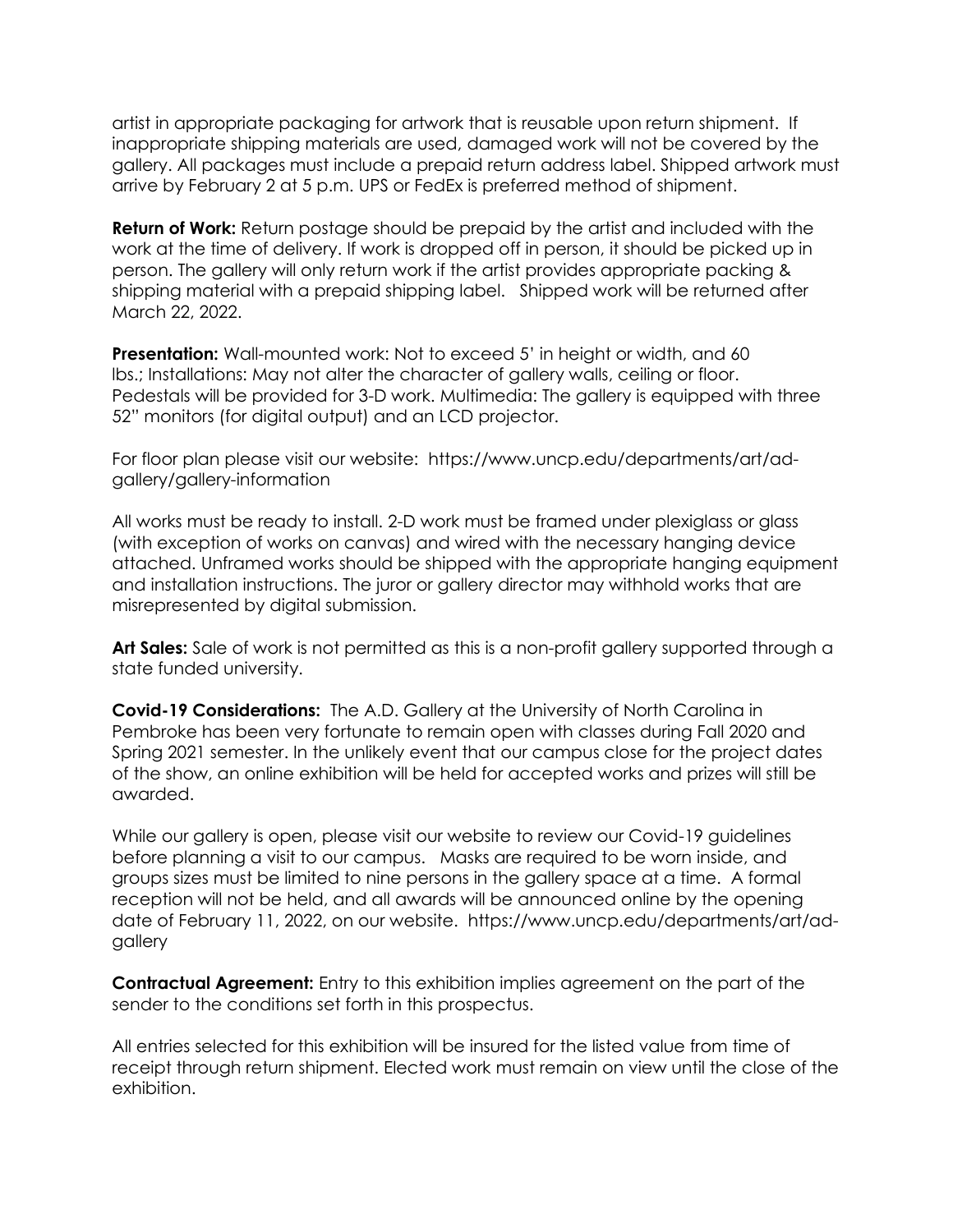artist in appropriate packaging for artwork that is reusable upon return shipment. If inappropriate shipping materials are used, damaged work will not be covered by the gallery. All packages must include a prepaid return address label. Shipped artwork must arrive by February 2 at 5 p.m. UPS or FedEx is preferred method of shipment.

**Return of Work:** Return postage should be prepaid by the artist and included with the work at the time of delivery. If work is dropped off in person, it should be picked up in person. The gallery will only return work if the artist provides appropriate packing & shipping material with a prepaid shipping label. Shipped work will be returned after March 22, 2022.

**Presentation:** Wall-mounted work: Not to exceed 5' in height or width, and 60 lbs.; Installations: May not alter the character of gallery walls, ceiling or floor. Pedestals will be provided for 3-D work. Multimedia: The gallery is equipped with three 52" monitors (for digital output) and an LCD projector.

For floor plan please visit our website: https://www.uncp.edu/departments/art/adgallery/gallery-information

All works must be ready to install. 2-D work must be framed under plexiglass or glass (with exception of works on canvas) and wired with the necessary hanging device attached. Unframed works should be shipped with the appropriate hanging equipment and installation instructions. The juror or gallery director may withhold works that are misrepresented by digital submission.

**Art Sales:** Sale of work is not permitted as this is a non-profit gallery supported through a state funded university.

**Covid-19 Considerations:** The A.D. Gallery at the University of North Carolina in Pembroke has been very fortunate to remain open with classes during Fall 2020 and Spring 2021 semester. In the unlikely event that our campus close for the project dates of the show, an online exhibition will be held for accepted works and prizes will still be awarded.

While our gallery is open, please visit our website to review our Covid-19 guidelines before planning a visit to our campus. Masks are required to be worn inside, and groups sizes must be limited to nine persons in the gallery space at a time. A formal reception will not be held, and all awards will be announced online by the opening date of February 11, 2022, on our website. https://www.uncp.edu/departments/art/adgallery

**Contractual Agreement:** Entry to this exhibition implies agreement on the part of the sender to the conditions set forth in this prospectus.

All entries selected for this exhibition will be insured for the listed value from time of receipt through return shipment. Elected work must remain on view until the close of the exhibition.